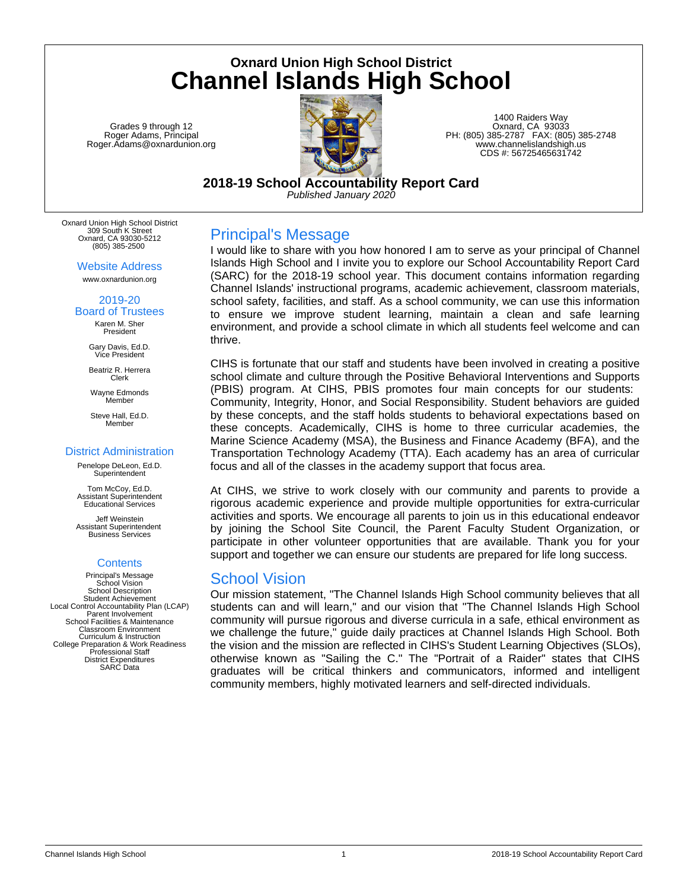**Oxnard Union High School District Channel Islands High School**

Grades 9 through 12 Roger Adams, Principal Roger.Adams@oxnardunion.org



1400 Raiders Way Oxnard, CA 93033 PH: (805) 385-2787 FAX: (805) 385-2748 www.channelislandshigh.us CDS #: 56725465631742

**2018-19 School Accountability Report Card** *Published January 2020*

Oxnard Union High School District 309 South K Street Oxnard, CA 93030-5212 (805) 385-2500

Website Address

www.oxnardunion.org

#### 2019-20 Board of Trustees

Karen M. Sher President

Gary Davis, Ed.D. Vice President

Beatriz R. Herrera Clerk

Wayne Edmonds Member

Steve Hall, Ed.D. Member

### District Administration

Penelope DeLeon, Ed.D. **Superintendent** 

Tom McCoy, Ed.D. Assistant Superintendent Educational Services

Jeff Weinstein Assistant Superintendent Business Services

### **Contents**

Principal's Message School Vision School Description Student Achievement Local Control Accountability Plan (LCAP) Parent Involvement School Facilities & Maintenance Classroom Environment Curriculum & Instruction College Preparation & Work Readiness Professional Staff District Expenditures SARC Data

## Principal's Message

I would like to share with you how honored I am to serve as your principal of Channel Islands High School and I invite you to explore our School Accountability Report Card (SARC) for the 2018-19 school year. This document contains information regarding Channel Islands' instructional programs, academic achievement, classroom materials, school safety, facilities, and staff. As a school community, we can use this information to ensure we improve student learning, maintain a clean and safe learning environment, and provide a school climate in which all students feel welcome and can thrive.

CIHS is fortunate that our staff and students have been involved in creating a positive school climate and culture through the Positive Behavioral Interventions and Supports (PBIS) program. At CIHS, PBIS promotes four main concepts for our students: Community, Integrity, Honor, and Social Responsibility. Student behaviors are guided by these concepts, and the staff holds students to behavioral expectations based on these concepts. Academically, CIHS is home to three curricular academies, the Marine Science Academy (MSA), the Business and Finance Academy (BFA), and the Transportation Technology Academy (TTA). Each academy has an area of curricular focus and all of the classes in the academy support that focus area.

At CIHS, we strive to work closely with our community and parents to provide a rigorous academic experience and provide multiple opportunities for extra-curricular activities and sports. We encourage all parents to join us in this educational endeavor by joining the School Site Council, the Parent Faculty Student Organization, or participate in other volunteer opportunities that are available. Thank you for your support and together we can ensure our students are prepared for life long success.

## School Vision

Our mission statement, "The Channel Islands High School community believes that all students can and will learn," and our vision that "The Channel Islands High School community will pursue rigorous and diverse curricula in a safe, ethical environment as we challenge the future," guide daily practices at Channel Islands High School. Both the vision and the mission are reflected in CIHS's Student Learning Objectives (SLOs), otherwise known as "Sailing the C." The "Portrait of a Raider" states that CIHS graduates will be critical thinkers and communicators, informed and intelligent community members, highly motivated learners and self-directed individuals.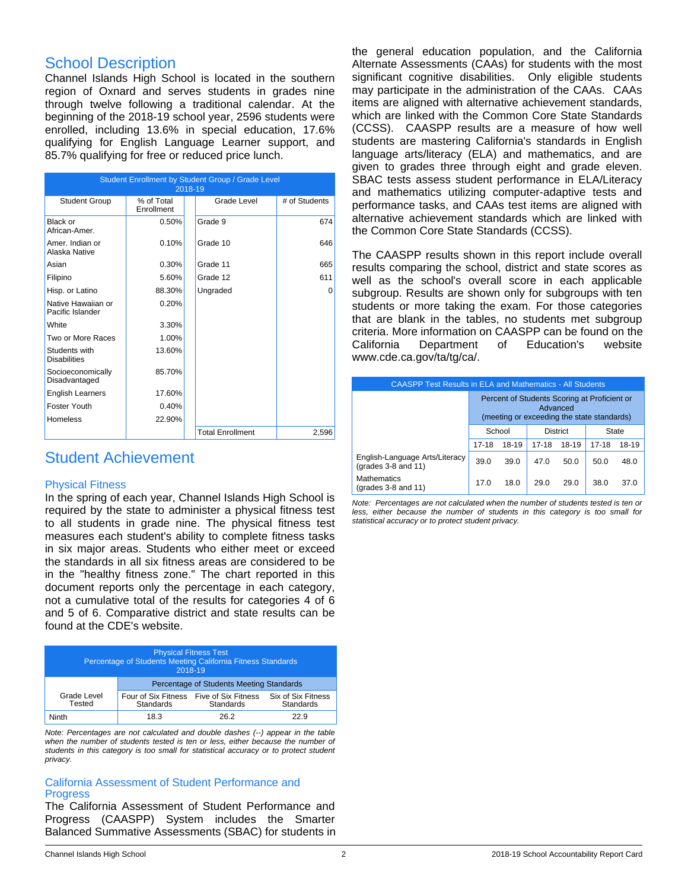## School Description

Channel Islands High School is located in the southern region of Oxnard and serves students in grades nine through twelve following a traditional calendar. At the beginning of the 2018-19 school year, 2596 students were enrolled, including 13.6% in special education, 17.6% qualifying for English Language Learner support, and 85.7% qualifying for free or reduced price lunch.

|                                        | Student Enrollment by Student Group / Grade Level<br>2018-19 |  |                         |               |  |  |
|----------------------------------------|--------------------------------------------------------------|--|-------------------------|---------------|--|--|
| <b>Student Group</b>                   | % of Total<br>Enrollment                                     |  | Grade Level             | # of Students |  |  |
| Black or<br>African-Amer.              | 0.50%                                                        |  | Grade 9                 | 674           |  |  |
| Amer. Indian or<br>Alaska Native       | 0.10%                                                        |  | Grade 10                | 646           |  |  |
| Asian                                  | 0.30%                                                        |  | Grade 11                | 665           |  |  |
| Filipino                               | 5.60%                                                        |  | Grade 12                | 611           |  |  |
| Hisp. or Latino                        | 88.30%                                                       |  | Ungraded                | $\Omega$      |  |  |
| Native Hawaiian or<br>Pacific Islander | 0.20%                                                        |  |                         |               |  |  |
| White                                  | 3.30%                                                        |  |                         |               |  |  |
| Two or More Races                      | 1.00%                                                        |  |                         |               |  |  |
| Students with<br><b>Disabilities</b>   | 13.60%                                                       |  |                         |               |  |  |
| Socioeconomically<br>Disadvantaged     | 85.70%                                                       |  |                         |               |  |  |
| <b>English Learners</b>                | 17.60%                                                       |  |                         |               |  |  |
| Foster Youth                           | 0.40%                                                        |  |                         |               |  |  |
| <b>Homeless</b>                        | 22.90%                                                       |  |                         |               |  |  |
|                                        |                                                              |  | <b>Total Enrollment</b> | 2,596         |  |  |

## Student Achievement

### Physical Fitness

In the spring of each year, Channel Islands High School is required by the state to administer a physical fitness test to all students in grade nine. The physical fitness test measures each student's ability to complete fitness tasks in six major areas. Students who either meet or exceed the standards in all six fitness areas are considered to be in the "healthy fitness zone." The chart reported in this document reports only the percentage in each category, not a cumulative total of the results for categories 4 of 6 and 5 of 6. Comparative district and state results can be found at the CDE's website.

| <b>Physical Fitness Test</b><br>Percentage of Students Meeting California Fitness Standards<br>2018-19 |                                                             |                  |                                 |  |
|--------------------------------------------------------------------------------------------------------|-------------------------------------------------------------|------------------|---------------------------------|--|
|                                                                                                        | Percentage of Students Meeting Standards                    |                  |                                 |  |
| Grade Level<br>Tested                                                                                  | Four of Six Fitness Five of Six Fitness<br><b>Standards</b> | <b>Standards</b> | Six of Six Fitness<br>Standards |  |
| Ninth                                                                                                  | 18.3                                                        | 26.2             | 22.9                            |  |

*Note: Percentages are not calculated and double dashes (--) appear in the table when the number of students tested is ten or less, either because the number of students in this category is too small for statistical accuracy or to protect student privacy.*

### California Assessment of Student Performance and **Progress**

The California Assessment of Student Performance and Progress (CAASPP) System includes the Smarter Balanced Summative Assessments (SBAC) for students in the general education population, and the California Alternate Assessments (CAAs) for students with the most significant cognitive disabilities. Only eligible students may participate in the administration of the CAAs. CAAs items are aligned with alternative achievement standards, which are linked with the Common Core State Standards (CCSS). CAASPP results are a measure of how well students are mastering California's standards in English language arts/literacy (ELA) and mathematics, and are given to grades three through eight and grade eleven. SBAC tests assess student performance in ELA/Literacy and mathematics utilizing computer-adaptive tests and performance tasks, and CAAs test items are aligned with alternative achievement standards which are linked with the Common Core State Standards (CCSS).

The CAASPP results shown in this report include overall results comparing the school, district and state scores as well as the school's overall score in each applicable subgroup. Results are shown only for subgroups with ten students or more taking the exam. For those categories that are blank in the tables, no students met subgroup criteria. More information on CAASPP can be found on the California Department of Education's website www.cde.ca.gov/ta/tg/ca/.

| <b>CAASPP Test Results in ELA and Mathematics - All Students</b> |                                                                                                        |       |           |       |           |       |
|------------------------------------------------------------------|--------------------------------------------------------------------------------------------------------|-------|-----------|-------|-----------|-------|
|                                                                  | Percent of Students Scoring at Proficient or<br>Advanced<br>(meeting or exceeding the state standards) |       |           |       |           |       |
|                                                                  | School<br><b>District</b><br><b>State</b>                                                              |       |           |       |           |       |
|                                                                  | $17 - 18$                                                                                              | 18-19 | $17 - 18$ | 18-19 | $17 - 18$ | 18-19 |
| English-Language Arts/Literacy<br>(grades 3-8 and 11)            | 39.0                                                                                                   | 39.0  | 47.0      | 50.0  | 50.0      | 48.0  |
| <b>Mathematics</b><br>(grades 3-8 and 11)                        | 17.0                                                                                                   | 18.0  | 29.0      | 29.0  | 38.0      | 37.0  |

*Note: Percentages are not calculated when the number of students tested is ten or less, either because the number of students in this category is too small for statistical accuracy or to protect student privacy.*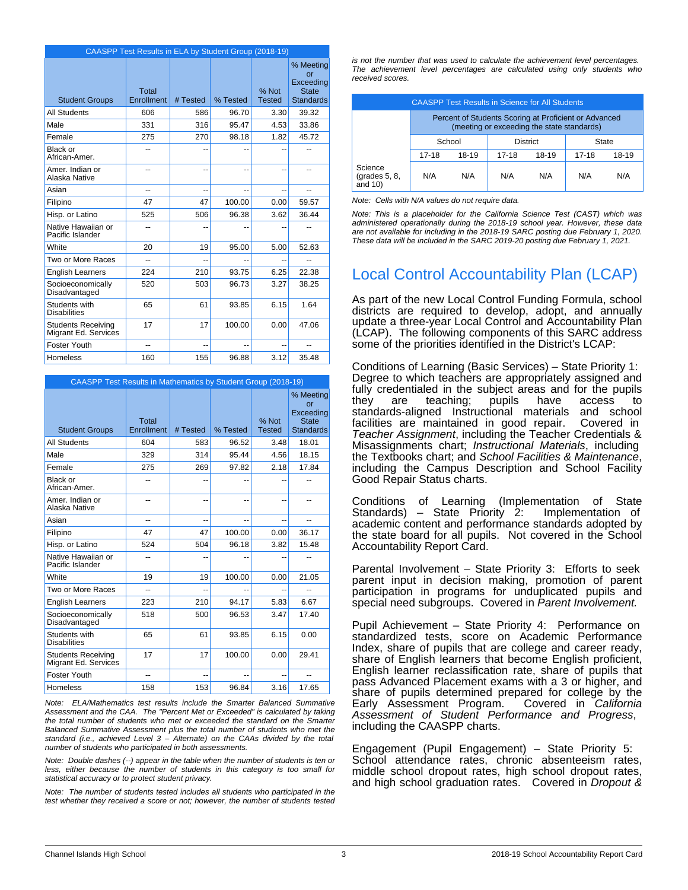|                                                   | CAASPP Test Results in ELA by Student Group (2018-19) |          |          |                        |                                                                  |
|---------------------------------------------------|-------------------------------------------------------|----------|----------|------------------------|------------------------------------------------------------------|
| <b>Student Groups</b>                             | Total<br>Enrollment                                   | # Tested | % Tested | % Not<br><b>Tested</b> | % Meeting<br>or<br>Exceeding<br><b>State</b><br><b>Standards</b> |
| <b>All Students</b>                               | 606                                                   | 586      | 96.70    | 3.30                   | 39.32                                                            |
| Male                                              | 331                                                   | 316      | 95.47    | 4.53                   | 33.86                                                            |
| Female                                            | 275                                                   | 270      | 98.18    | 1.82                   | 45.72                                                            |
| Black or<br>African-Amer.                         |                                                       | --       |          | --                     |                                                                  |
| Amer, Indian or<br>Alaska Native                  | --                                                    | --       |          | --                     | --                                                               |
| Asian                                             | $\overline{a}$                                        | $-$      |          | --                     | $-1$                                                             |
| Filipino                                          | 47                                                    | 47       | 100.00   | 0.00                   | 59.57                                                            |
| Hisp. or Latino                                   | 525                                                   | 506      | 96.38    | 3.62                   | 36.44                                                            |
| Native Hawaiian or<br>Pacific Islander            | --                                                    |          |          |                        |                                                                  |
| White                                             | 20                                                    | 19       | 95.00    | 5.00                   | 52.63                                                            |
| Two or More Races                                 | --                                                    | $-$      | --       | --                     | --                                                               |
| <b>English Learners</b>                           | 224                                                   | 210      | 93.75    | 6.25                   | 22.38                                                            |
| Socioeconomically<br>Disadvantaged                | 520                                                   | 503      | 96.73    | 3.27                   | 38.25                                                            |
| Students with<br><b>Disabilities</b>              | 65                                                    | 61       | 93.85    | 6.15                   | 1.64                                                             |
| <b>Students Receiving</b><br>Migrant Ed. Services | 17                                                    | 17       | 100.00   | 0.00                   | 47.06                                                            |
| Foster Youth                                      | --                                                    | $-$      | --       | --                     | --                                                               |
| <b>Homeless</b>                                   | 160                                                   | 155      | 96.88    | 3.12                   | 35.48                                                            |

| <b>CAASPP Test Results in Mathematics by Student Group (2018-19)</b> |                     |                          |          |                        |                                                                  |
|----------------------------------------------------------------------|---------------------|--------------------------|----------|------------------------|------------------------------------------------------------------|
| <b>Student Groups</b>                                                | Total<br>Enrollment | # Tested                 | % Tested | % Not<br><b>Tested</b> | % Meeting<br>or<br>Exceeding<br><b>State</b><br><b>Standards</b> |
| <b>All Students</b>                                                  | 604                 | 583                      | 96.52    | 3.48                   | 18.01                                                            |
| Male                                                                 | 329                 | 314                      | 95.44    | 4.56                   | 18.15                                                            |
| Female                                                               | 275                 | 269                      | 97.82    | 2.18                   | 17.84                                                            |
| Black or<br>African-Amer.                                            | --                  | --                       |          |                        |                                                                  |
| Amer. Indian or<br>Alaska Native                                     | --                  | --                       | --       | --                     | --                                                               |
| Asian                                                                | --                  | $\overline{\phantom{a}}$ |          | --                     | $-1$                                                             |
| Filipino                                                             | 47                  | 47                       | 100.00   | 0.00                   | 36.17                                                            |
| Hisp. or Latino                                                      | 524                 | 504                      | 96.18    | 3.82                   | 15.48                                                            |
| Native Hawaiian or<br>Pacific Islander                               | --                  | --                       |          |                        |                                                                  |
| White                                                                | 19                  | 19                       | 100.00   | 0.00                   | 21.05                                                            |
| Two or More Races                                                    | $\overline{a}$      | --                       |          |                        | --                                                               |
| <b>English Learners</b>                                              | 223                 | 210                      | 94.17    | 5.83                   | 6.67                                                             |
| Socioeconomically<br>Disadvantaged                                   | 518                 | 500                      | 96.53    | 3.47                   | 17.40                                                            |
| Students with<br><b>Disabilities</b>                                 | 65                  | 61                       | 93.85    | 6.15                   | 0.00                                                             |
| <b>Students Receiving</b><br>Migrant Ed. Services                    | 17                  | 17                       | 100.00   | 0.00                   | 29.41                                                            |
| <b>Foster Youth</b>                                                  | $-$                 | --                       |          |                        | --                                                               |
| Homeless                                                             | 158                 | 153                      | 96.84    | 3.16                   | 17.65                                                            |

*Note: ELA/Mathematics test results include the Smarter Balanced Summative Assessment and the CAA. The "Percent Met or Exceeded" is calculated by taking the total number of students who met or exceeded the standard on the Smarter Balanced Summative Assessment plus the total number of students who met the standard (i.e., achieved Level 3 – Alternate) on the CAAs divided by the total number of students who participated in both assessments.*

*Note: Double dashes (--) appear in the table when the number of students is ten or less, either because the number of students in this category is too small for statistical accuracy or to protect student privacy.*

*Note: The number of students tested includes all students who participated in the test whether they received a score or not; however, the number of students tested* *is not the number that was used to calculate the achievement level percentages. The achievement level percentages are calculated using only students who received scores.*

| <b>CAASPP Test Results in Science for All Students</b> |                                                                                                     |       |                |       |       |       |
|--------------------------------------------------------|-----------------------------------------------------------------------------------------------------|-------|----------------|-------|-------|-------|
|                                                        | Percent of Students Scoring at Proficient or Advanced<br>(meeting or exceeding the state standards) |       |                |       |       |       |
|                                                        | School<br><b>District</b>                                                                           |       |                | State |       |       |
|                                                        | $17-18$                                                                                             | 18-19 | 18-19<br>17-18 |       | 17-18 | 18-19 |
| Science<br>$\left($ grades 5, 8,<br>and $10$ )         | N/A                                                                                                 | N/A   | N/A            | N/A   | N/A   | N/A   |

*Note: Cells with N/A values do not require data.*

*Note: This is a placeholder for the California Science Test (CAST) which was administered operationally during the 2018-19 school year. However, these data are not available for including in the 2018-19 SARC posting due February 1, 2020. These data will be included in the SARC 2019-20 posting due February 1, 2021.*

# Local Control Accountability Plan (LCAP)

As part of the new Local Control Funding Formula, school districts are required to develop, adopt, and annually update a three-year Local Control and Accountability Plan (LCAP). The following components of this SARC address some of the priorities identified in the District's LCAP:

Conditions of Learning (Basic Services) – State Priority 1: Degree to which teachers are appropriately assigned and fully credentialed in the subject areas and for the pupils<br>they are teaching; pupils have access to they are teaching; pupils have access to standards-aligned Instructional materials and school facilities are maintained in good repair. Covered in *Teacher Assignment*, including the Teacher Credentials & Misassignments chart; *Instructional Materials*, including the Textbooks chart; and *School Facilities & Maintenance*, including the Campus Description and School Facility Good Repair Status charts.

Conditions of Learning (Implementation of State Standards) – State Priority  $2$ : academic content and performance standards adopted by the state board for all pupils. Not covered in the School Accountability Report Card.

Parental Involvement – State Priority 3: Efforts to seek parent input in decision making, promotion of parent participation in programs for unduplicated pupils and special need subgroups. Covered in *Parent Involvement.*

Pupil Achievement – State Priority 4: Performance on standardized tests, score on Academic Performance Index, share of pupils that are college and career ready, share of English learners that become English proficient, English learner reclassification rate, share of pupils that pass Advanced Placement exams with a 3 or higher, and share of pupils determined prepared for college by the Early Assessment Program. Covered in California Early Assessment Program. *Assessment of Student Performance and Progress*, including the CAASPP charts.

Engagement (Pupil Engagement) – State Priority 5: School attendance rates, chronic absenteeism rates, middle school dropout rates, high school dropout rates, and high school graduation rates. Covered in *Dropout &*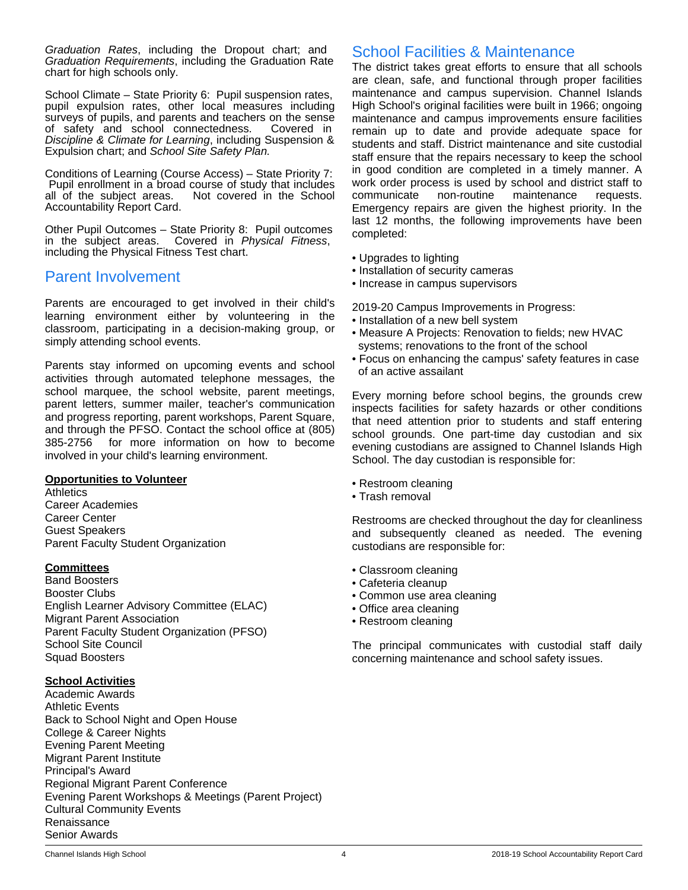*Graduation Rates*, including the Dropout chart; and *Graduation Requirements*, including the Graduation Rate chart for high schools only.

School Climate – State Priority 6: Pupil suspension rates, pupil expulsion rates, other local measures including surveys of pupils, and parents and teachers on the sense of safety and school connectedness. Covered in *Discipline & Climate for Learning*, including Suspension & Expulsion chart; and *School Site Safety Plan.*

Conditions of Learning (Course Access) – State Priority 7: Pupil enrollment in a broad course of study that includes<br>all of the subject areas. Not covered in the School Not covered in the School Accountability Report Card.

Other Pupil Outcomes – State Priority 8: Pupil outcomes in the subject areas. Covered in *Physical Fitness*, including the Physical Fitness Test chart.

## Parent Involvement

Parents are encouraged to get involved in their child's learning environment either by volunteering in the classroom, participating in a decision-making group, or simply attending school events.

Parents stay informed on upcoming events and school activities through automated telephone messages, the school marquee, the school website, parent meetings, parent letters, summer mailer, teacher's communication and progress reporting, parent workshops, Parent Square, and through the PFSO. Contact the school office at (805) 385-2756 for more information on how to become involved in your child's learning environment.

### **Opportunities to Volunteer**

**Athletics** Career Academies Career Center Guest Speakers Parent Faculty Student Organization

### **Committees**

Band Boosters Booster Clubs English Learner Advisory Committee (ELAC) Migrant Parent Association Parent Faculty Student Organization (PFSO) School Site Council Squad Boosters

### **School Activities**

Academic Awards Athletic Events Back to School Night and Open House College & Career Nights Evening Parent Meeting Migrant Parent Institute Principal's Award Regional Migrant Parent Conference Evening Parent Workshops & Meetings (Parent Project) Cultural Community Events Renaissance Senior Awards

## School Facilities & Maintenance

The district takes great efforts to ensure that all schools are clean, safe, and functional through proper facilities maintenance and campus supervision. Channel Islands High School's original facilities were built in 1966; ongoing maintenance and campus improvements ensure facilities remain up to date and provide adequate space for students and staff. District maintenance and site custodial staff ensure that the repairs necessary to keep the school in good condition are completed in a timely manner. A work order process is used by school and district staff to communicate non-routine maintenance requests. Emergency repairs are given the highest priority. In the last 12 months, the following improvements have been completed:

- Upgrades to lighting
- Installation of security cameras
- Increase in campus supervisors

2019-20 Campus Improvements in Progress:

- Installation of a new bell system
- Measure A Projects: Renovation to fields; new HVAC systems; renovations to the front of the school
- Focus on enhancing the campus' safety features in case of an active assailant

Every morning before school begins, the grounds crew inspects facilities for safety hazards or other conditions that need attention prior to students and staff entering school grounds. One part-time day custodian and six evening custodians are assigned to Channel Islands High School. The day custodian is responsible for:

- Restroom cleaning
- Trash removal

Restrooms are checked throughout the day for cleanliness and subsequently cleaned as needed. The evening custodians are responsible for:

- Classroom cleaning
- Cafeteria cleanup
- Common use area cleaning
- Office area cleaning
- Restroom cleaning

The principal communicates with custodial staff daily concerning maintenance and school safety issues.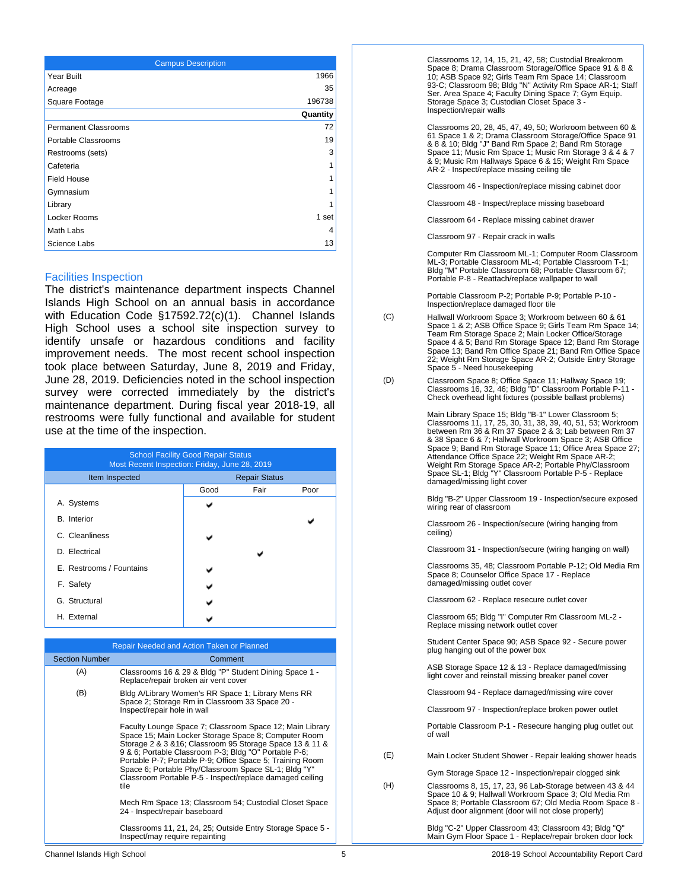| <b>Campus Description</b>   |          |
|-----------------------------|----------|
| Year Built                  | 1966     |
| Acreage                     | 35       |
| Square Footage              | 196738   |
|                             | Quantity |
| <b>Permanent Classrooms</b> | 72       |
| Portable Classrooms         | 19       |
| Restrooms (sets)            | 3        |
| Cafeteria                   | 1        |
| <b>Field House</b>          | 1        |
| Gymnasium                   | 1        |
| Library                     | 1        |
| Locker Rooms                | 1 set    |
| Math Labs                   | 4        |
| Science Labs                | 13       |

#### Facilities Inspection

The district's maintenance department inspects Channel Islands High School on an annual basis in accordance with Education Code §17592.72(c)(1). Channel Islands High School uses a school site inspection survey to identify unsafe or hazardous conditions and facility improvement needs. The most recent school inspection took place between Saturday, June 8, 2019 and Friday, June 28, 2019. Deficiencies noted in the school inspection survey were corrected immediately by the district's maintenance department. During fiscal year 2018-19, all restrooms were fully functional and available for student use at the time of the inspection.

| <b>School Facility Good Repair Status</b><br>Most Recent Inspection: Friday, June 28, 2019 |      |                      |      |  |  |
|--------------------------------------------------------------------------------------------|------|----------------------|------|--|--|
| Item Inspected                                                                             |      | <b>Repair Status</b> |      |  |  |
|                                                                                            | Good | Fair                 | Poor |  |  |
| A. Systems                                                                                 |      |                      |      |  |  |
| <b>B.</b> Interior                                                                         |      |                      |      |  |  |
| C. Cleanliness                                                                             |      |                      |      |  |  |
| D. Electrical                                                                              |      |                      |      |  |  |
| E. Restrooms / Fountains                                                                   |      |                      |      |  |  |
| F. Safety                                                                                  |      |                      |      |  |  |
| G. Structural                                                                              |      |                      |      |  |  |
| H. External                                                                                |      |                      |      |  |  |

|                       | Repair Needed and Action Taken or Planned                                                                                                                                                                                                                                                                                                                                                                                      |
|-----------------------|--------------------------------------------------------------------------------------------------------------------------------------------------------------------------------------------------------------------------------------------------------------------------------------------------------------------------------------------------------------------------------------------------------------------------------|
| <b>Section Number</b> | Comment                                                                                                                                                                                                                                                                                                                                                                                                                        |
| (A)                   | Classrooms 16 & 29 & Bldg "P" Student Dining Space 1 -<br>Replace/repair broken air vent cover                                                                                                                                                                                                                                                                                                                                 |
| (B)                   | Bldg A/Library Women's RR Space 1; Library Mens RR<br>Space 2; Storage Rm in Classroom 33 Space 20 -<br>Inspect/repair hole in wall                                                                                                                                                                                                                                                                                            |
|                       | Faculty Lounge Space 7; Classroom Space 12; Main Library<br>Space 15; Main Locker Storage Space 8; Computer Room<br>Storage 2 & 3 & 16; Classroom 95 Storage Space 13 & 11 &<br>9 & 6; Portable Classroom P-3; Bldg "O" Portable P-6;<br>Portable P-7; Portable P-9; Office Space 5; Training Room<br>Space 6; Portable Phy/Classroom Space SL-1; Bldg "Y"<br>Classroom Portable P-5 - Inspect/replace damaged ceiling<br>tile |
|                       | Mech Rm Space 13; Classroom 54; Custodial Closet Space<br>24 - Inspect/repair baseboard                                                                                                                                                                                                                                                                                                                                        |
|                       | Classrooms 11, 21, 24, 25; Outside Entry Storage Space 5 -<br>Inspect/may require repainting                                                                                                                                                                                                                                                                                                                                   |

Classrooms 12, 14, 15, 21, 42, 58; Custodial Breakroom Space 8; Drama Classroom Storage/Office Space 91 & 8 & 10; ASB Space 92; Girls Team Rm Space 14; Classroom 93-C; Classroom 98; Bldg "N" Activity Rm Space AR-1; Staff Ser. Area Space 4; Faculty Dining Space 7; Gym Equip. Storage Space 3; Custodian Closet Space 3 - Inspection/repair walls

Classrooms 20, 28, 45, 47, 49, 50; Workroom between 60 & 61 Space 1 & 2; Drama Classroom Storage/Office Space 91 & 8 & 10; Bldg "J" Band Rm Space 2; Band Rm Storage Space 11; Music Rm Space 1; Music Rm Storage 3 & 4 & 7 & 9; Music Rm Hallways Space 6 & 15; Weight Rm Space AR-2 - Inspect/replace missing ceiling tile

Classroom 46 - Inspection/replace missing cabinet door

Classroom 48 - Inspect/replace missing baseboard

Classroom 64 - Replace missing cabinet drawer

Classroom 97 - Repair crack in walls

Computer Rm Classroom ML-1; Computer Room Classroom ML-3; Portable Classroom ML-4; Portable Classroom T-1; Bldg "M" Portable Classroom 68; Portable Classroom 67; Portable P-8 - Reattach/replace wallpaper to wall

Portable Classroom P-2; Portable P-9; Portable P-10 - Inspection/replace damaged floor tile

- (C) Hallwall Workroom Space 3; Workroom between 60 & 61 Space 1 & 2; ASB Office Space 9; Girls Team Rm Space 14; Team Rm Storage Space 2; Main Locker Office/Storage Space 4 & 5; Band Rm Storage Space 12; Band Rm Storage Space 13; Band Rm Office Space 21; Band Rm Office Space 22; Weight Rm Storage Space AR-2; Outside Entry Storage Space 5 - Need housekeeping
- (D) Classroom Space 8; Office Space 11; Hallway Space 19; Classrooms 16, 32, 46; Bldg "D" Classroom Portable P-11 Check overhead light fixtures (possible ballast problems)

Main Library Space 15; Bldg "B-1" Lower Classroom 5; Classrooms 11, 17, 25, 30, 31, 38, 39, 40, 51, 53; Workroom between Rm 36 & Rm 37 Space 2 & 3; Lab between Rm 37 & 38 Space 6 & 7; Hallwall Workroom Space 3; ASB Office Space 9; Band Rm Storage Space 11; Office Area Space 27; Attendance Office Space 22; Weight Rm Space AR-2; Weight Rm Storage Space AR-2; Portable Phy/Classroom Space SL-1; Bldg "Y" Classroom Portable P-5 - Replace damaged/missing light cover

Bldg "B-2" Upper Classroom 19 - Inspection/secure exposed wiring rear of classroom

Classroom 26 - Inspection/secure (wiring hanging from ceiling)

Classroom 31 - Inspection/secure (wiring hanging on wall)

Classrooms 35, 48; Classroom Portable P-12; Old Media Rm Space 8; Counselor Office Space 17 - Replace damaged/missing outlet cover

Classroom 62 - Replace resecure outlet cover

Classroom 65; Bldg "I" Computer Rm Classroom ML-2 - Replace missing network outlet cover

Student Center Space 90; ASB Space 92 - Secure power plug hanging out of the power box

ASB Storage Space 12 & 13 - Replace damaged/missing light cover and reinstall missing breaker panel cover

Classroom 94 - Replace damaged/missing wire cover

Classroom 97 - Inspection/replace broken power outlet

Portable Classroom P-1 - Resecure hanging plug outlet out of wall

(E) Main Locker Student Shower - Repair leaking shower heads

Gym Storage Space 12 - Inspection/repair clogged sink

(H) Classrooms 8, 15, 17, 23, 96 Lab-Storage between 43 & 44 Space 10 & 9; Hallwall Workroom Space 3; Old Media Rm Space 8; Portable Classroom 67; Old Media Room Space 8 - Adjust door alignment (door will not close properly)

> Bldg "C-2" Upper Classroom 43; Classroom 43; Bldg "Q" Main Gym Floor Space 1 - Replace/repair broken door lock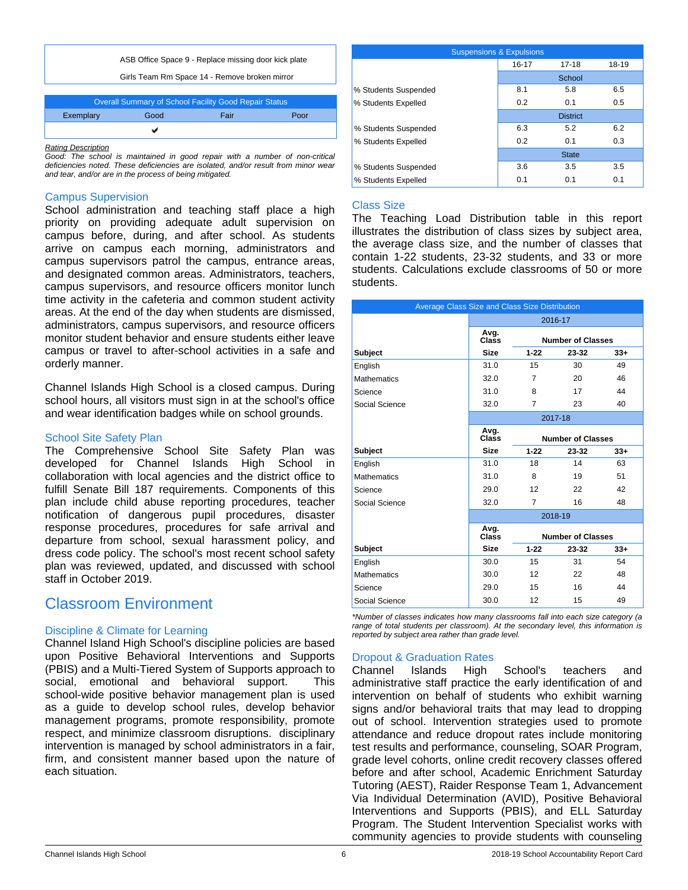

| Overall Summary of School Facility Good Repair Status |  |  |  |  |  |
|-------------------------------------------------------|--|--|--|--|--|
| Exemplary<br>Good<br>Fair<br>Poor                     |  |  |  |  |  |
|                                                       |  |  |  |  |  |
|                                                       |  |  |  |  |  |

*Rating Description*

*Good: The school is maintained in good repair with a number of non-critical deficiencies noted. These deficiencies are isolated, and/or result from minor wear and tear, and/or are in the process of being mitigated.*

### Campus Supervision

School administration and teaching staff place a high priority on providing adequate adult supervision on campus before, during, and after school. As students arrive on campus each morning, administrators and campus supervisors patrol the campus, entrance areas, and designated common areas. Administrators, teachers, campus supervisors, and resource officers monitor lunch time activity in the cafeteria and common student activity areas. At the end of the day when students are dismissed, administrators, campus supervisors, and resource officers monitor student behavior and ensure students either leave campus or travel to after-school activities in a safe and orderly manner.

Channel Islands High School is a closed campus. During school hours, all visitors must sign in at the school's office and wear identification badges while on school grounds.

### School Site Safety Plan

The Comprehensive School Site Safety Plan was developed for Channel Islands High School in collaboration with local agencies and the district office to fulfill Senate Bill 187 requirements. Components of this plan include child abuse reporting procedures, teacher notification of dangerous pupil procedures, disaster response procedures, procedures for safe arrival and departure from school, sexual harassment policy, and dress code policy. The school's most recent school safety plan was reviewed, updated, and discussed with school staff in October 2019.

## Classroom Environment

### Discipline & Climate for Learning

Channel Island High School's discipline policies are based upon Positive Behavioral Interventions and Supports (PBIS) and a Multi-Tiered System of Supports approach to social, emotional and behavioral support. This school-wide positive behavior management plan is used as a guide to develop school rules, develop behavior management programs, promote responsibility, promote respect, and minimize classroom disruptions. disciplinary intervention is managed by school administrators in a fair, firm, and consistent manner based upon the nature of each situation.

| <b>Suspensions &amp; Expulsions</b> |           |                 |       |  |  |
|-------------------------------------|-----------|-----------------|-------|--|--|
|                                     | $16 - 17$ | $17 - 18$       | 18-19 |  |  |
|                                     |           | School          |       |  |  |
| % Students Suspended                | 8.1       | 5.8             | 6.5   |  |  |
| % Students Expelled                 | 0.2       | 0.1             | 0.5   |  |  |
|                                     |           | <b>District</b> |       |  |  |
| % Students Suspended                | 6.3       | 5.2             | 6.2   |  |  |
| % Students Expelled                 | 0.2       | 0.1             | 0.3   |  |  |
|                                     |           | <b>State</b>    |       |  |  |
| % Students Suspended                | 3.6       | 3.5             | 3.5   |  |  |
| % Students Expelled                 | 0.1       | 0.1             | 0.1   |  |  |

### Class Size

The Teaching Load Distribution table in this report illustrates the distribution of class sizes by subject area, the average class size, and the number of classes that contain 1-22 students, 23-32 students, and 33 or more students. Calculations exclude classrooms of 50 or more students.

| Average Class Size and Class Size Distribution |               |                |                          |       |  |
|------------------------------------------------|---------------|----------------|--------------------------|-------|--|
|                                                |               |                | 2016-17                  |       |  |
|                                                | Avg.<br>Class |                | <b>Number of Classes</b> |       |  |
| <b>Subject</b>                                 | <b>Size</b>   | $1 - 22$       | 23-32                    | $33+$ |  |
| English                                        | 31.0          | 15             | 30                       | 49    |  |
| <b>Mathematics</b>                             | 32.0          | 7              | 20                       | 46    |  |
| Science                                        | 31.0          | 8              | 17                       | 44    |  |
| Social Science                                 | 32.0          | $\overline{7}$ | 23                       | 40    |  |
|                                                |               |                | 2017-18                  |       |  |
|                                                | Avg.<br>Class |                | <b>Number of Classes</b> |       |  |
| <b>Subject</b>                                 | <b>Size</b>   | $1 - 22$       | 23-32                    | $33+$ |  |
| English                                        | 31.0          | 18             | 14                       | 63    |  |
| <b>Mathematics</b>                             | 31.0          | 8              | 19                       | 51    |  |
| Science                                        | 29.0          | 12             | 22                       | 42    |  |
| Social Science                                 | 32.0          | 7              | 16                       | 48    |  |
|                                                |               |                | 2018-19                  |       |  |
|                                                | Avg.<br>Class |                | <b>Number of Classes</b> |       |  |
| <b>Subject</b>                                 | <b>Size</b>   | $1 - 22$       | 23-32                    | $33+$ |  |
| English                                        | 30.0          | 15             | 31                       | 54    |  |
| <b>Mathematics</b>                             | 30.0          | 12             | 22                       | 48    |  |
| Science                                        | 29.0          | 15             | 16                       | 44    |  |
| Social Science                                 | 30.0          | 12             | 15                       | 49    |  |

*\*Number of classes indicates how many classrooms fall into each size category (a range of total students per classroom). At the secondary level, this information is reported by subject area rather than grade level.*

### Dropout & Graduation Rates

Channel Islands High School's teachers and administrative staff practice the early identification of and intervention on behalf of students who exhibit warning signs and/or behavioral traits that may lead to dropping out of school. Intervention strategies used to promote attendance and reduce dropout rates include monitoring test results and performance, counseling, SOAR Program, grade level cohorts, online credit recovery classes offered before and after school, Academic Enrichment Saturday Tutoring (AEST), Raider Response Team 1, Advancement Via Individual Determination (AVID), Positive Behavioral Interventions and Supports (PBIS), and ELL Saturday Program. The Student Intervention Specialist works with community agencies to provide students with counseling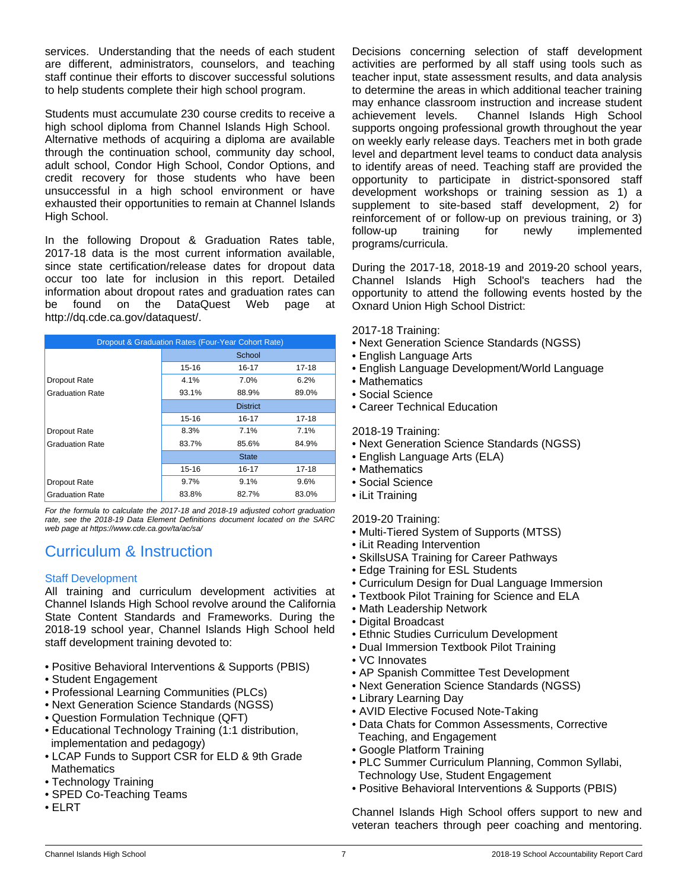services. Understanding that the needs of each student are different, administrators, counselors, and teaching staff continue their efforts to discover successful solutions to help students complete their high school program.

Students must accumulate 230 course credits to receive a high school diploma from Channel Islands High School. Alternative methods of acquiring a diploma are available through the continuation school, community day school, adult school, Condor High School, Condor Options, and credit recovery for those students who have been unsuccessful in a high school environment or have exhausted their opportunities to remain at Channel Islands High School.

In the following Dropout & Graduation Rates table, 2017-18 data is the most current information available, since state certification/release dates for dropout data occur too late for inclusion in this report. Detailed information about dropout rates and graduation rates can be found on the DataQuest Web page at http://dq.cde.ca.gov/dataquest/.

| Dropout & Graduation Rates (Four-Year Cohort Rate) |                         |              |       |  |
|----------------------------------------------------|-------------------------|--------------|-------|--|
|                                                    | School                  |              |       |  |
|                                                    | $15 - 16$               | $16 - 17$    | 17-18 |  |
| Dropout Rate                                       | 4.1%                    | 7.0%         | 6.2%  |  |
| <b>Graduation Rate</b>                             | 93.1%<br>88.9%<br>89.0% |              |       |  |
|                                                    | <b>District</b>         |              |       |  |
|                                                    | 15-16                   | 16-17        | 17-18 |  |
| Dropout Rate                                       | 8.3%                    | 7.1%         | 7.1%  |  |
| <b>Graduation Rate</b>                             | 83.7%                   | 85.6%        | 84.9% |  |
|                                                    |                         | <b>State</b> |       |  |
|                                                    | 15-16                   | 16-17        | 17-18 |  |
| Dropout Rate                                       | $9.7\%$                 | 9.1%         | 9.6%  |  |
| <b>Graduation Rate</b>                             | 83.8%                   | 82.7%        | 83.0% |  |

*For the formula to calculate the 2017-18 and 2018-19 adjusted cohort graduation rate, see the 2018-19 Data Element Definitions document located on the SARC web page at https://www.cde.ca.gov/ta/ac/sa/*

# Curriculum & Instruction

### Staff Development

All training and curriculum development activities at Channel Islands High School revolve around the California State Content Standards and Frameworks. During the 2018-19 school year, Channel Islands High School held staff development training devoted to:

- Positive Behavioral Interventions & Supports (PBIS)
- Student Engagement
- Professional Learning Communities (PLCs)
- Next Generation Science Standards (NGSS)
- Question Formulation Technique (QFT)
- Educational Technology Training (1:1 distribution, implementation and pedagogy)
- LCAP Funds to Support CSR for ELD & 9th Grade **Mathematics**
- Technology Training
- SPED Co-Teaching Teams
- ELRT

Decisions concerning selection of staff development activities are performed by all staff using tools such as teacher input, state assessment results, and data analysis to determine the areas in which additional teacher training may enhance classroom instruction and increase student achievement levels. Channel Islands High School supports ongoing professional growth throughout the year on weekly early release days. Teachers met in both grade level and department level teams to conduct data analysis to identify areas of need. Teaching staff are provided the opportunity to participate in district-sponsored staff development workshops or training session as 1) a supplement to site-based staff development, 2) for reinforcement of or follow-up on previous training, or 3) follow-up training for newly implemented programs/curricula.

During the 2017-18, 2018-19 and 2019-20 school years, Channel Islands High School's teachers had the opportunity to attend the following events hosted by the Oxnard Union High School District:

2017-18 Training:

- Next Generation Science Standards (NGSS)
- English Language Arts
- English Language Development/World Language
- Mathematics
- Social Science
- Career Technical Education

2018-19 Training:

- Next Generation Science Standards (NGSS)
- English Language Arts (ELA)
- Mathematics
- Social Science
- iLit Training

2019-20 Training:

- Multi-Tiered System of Supports (MTSS)
- iLit Reading Intervention
- SkillsUSA Training for Career Pathways
- Edge Training for ESL Students
- Curriculum Design for Dual Language Immersion
- Textbook Pilot Training for Science and ELA
- Math Leadership Network
- Digital Broadcast
- Ethnic Studies Curriculum Development
- Dual Immersion Textbook Pilot Training
- VC Innovates
- AP Spanish Committee Test Development
- Next Generation Science Standards (NGSS)
- Library Learning Day
- AVID Elective Focused Note-Taking
- Data Chats for Common Assessments, Corrective Teaching, and Engagement
- Google Platform Training
- PLC Summer Curriculum Planning, Common Syllabi, Technology Use, Student Engagement
- Positive Behavioral Interventions & Supports (PBIS)

Channel Islands High School offers support to new and veteran teachers through peer coaching and mentoring.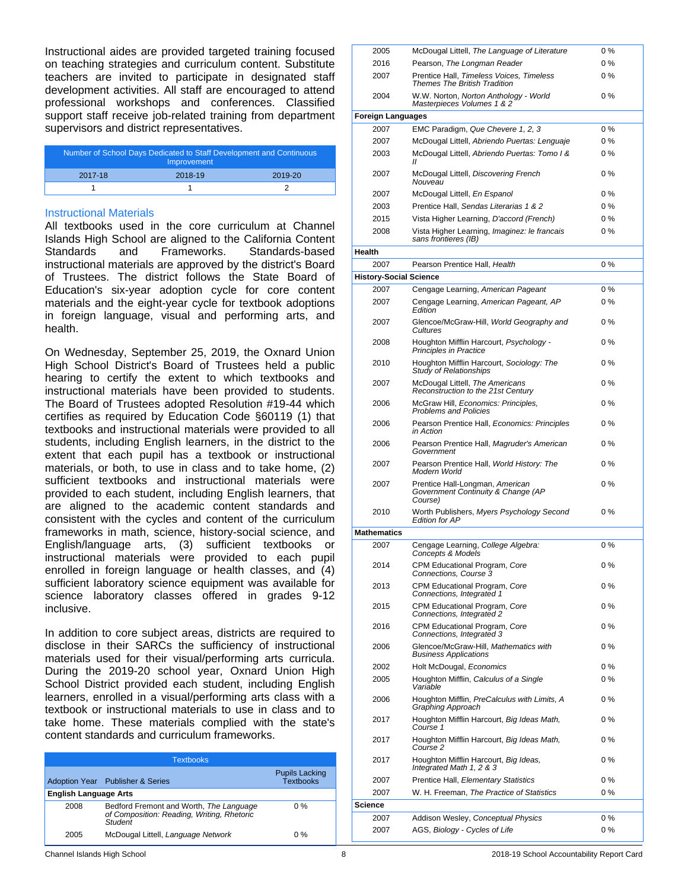Instructional aides are provided targeted training focused on teaching strategies and curriculum content. Substitute teachers are invited to participate in designated staff development activities. All staff are encouraged to attend professional workshops and conferences. Classified support staff receive job-related training from department supervisors and district representatives.

| Number of School Days Dedicated to Staff Development and Continuous<br>Improvement |         |         |  |
|------------------------------------------------------------------------------------|---------|---------|--|
| 2017-18                                                                            | 2018-19 | 2019-20 |  |
|                                                                                    |         |         |  |

#### Instructional Materials

All textbooks used in the core curriculum at Channel Islands High School are aligned to the California Content Standards and Frameworks. Standards-based instructional materials are approved by the district's Board of Trustees. The district follows the State Board of Education's six-year adoption cycle for core content materials and the eight-year cycle for textbook adoptions in foreign language, visual and performing arts, and health.

On Wednesday, September 25, 2019, the Oxnard Union High School District's Board of Trustees held a public hearing to certify the extent to which textbooks and instructional materials have been provided to students. The Board of Trustees adopted Resolution #19-44 which certifies as required by Education Code §60119 (1) that textbooks and instructional materials were provided to all students, including English learners, in the district to the extent that each pupil has a textbook or instructional materials, or both, to use in class and to take home, (2) sufficient textbooks and instructional materials were provided to each student, including English learners, that are aligned to the academic content standards and consistent with the cycles and content of the curriculum frameworks in math, science, history-social science, and English/language arts, (3) sufficient textbooks or instructional materials were provided to each pupil enrolled in foreign language or health classes, and (4) sufficient laboratory science equipment was available for science laboratory classes offered in grades 9-12 inclusive.

In addition to core subject areas, districts are required to disclose in their SARCs the sufficiency of instructional materials used for their visual/performing arts curricula. During the 2019-20 school year, Oxnard Union High School District provided each student, including English learners, enrolled in a visual/performing arts class with a textbook or instructional materials to use in class and to take home. These materials complied with the state's content standards and curriculum frameworks.

| <b>Textbooks</b>             |                                                                                                  |                                           |  |  |
|------------------------------|--------------------------------------------------------------------------------------------------|-------------------------------------------|--|--|
|                              | Adoption Year Publisher & Series                                                                 | <b>Pupils Lacking</b><br><b>Textbooks</b> |  |  |
| <b>English Language Arts</b> |                                                                                                  |                                           |  |  |
| 2008                         | Bedford Fremont and Worth, The Language<br>of Composition: Reading, Writing, Rhetoric<br>Student | $0\%$                                     |  |  |
| 2005                         | McDougal Littell, Language Network                                                               | $0\%$                                     |  |  |

| 2005                          | McDougal Littell, The Language of Literature                                     | $0\%$ |
|-------------------------------|----------------------------------------------------------------------------------|-------|
| 2016                          | Pearson, The Longman Reader                                                      | 0%    |
| 2007                          | Prentice Hall, Timeless Voices, Timeless<br><b>Themes The British Tradition</b>  | $0\%$ |
| 2004                          | W.W. Norton, Norton Anthology - World<br>Masterpieces Volumes 1 & 2              | $0\%$ |
| Foreign Languages             |                                                                                  |       |
| 2007                          | EMC Paradigm, Que Chevere 1, 2, 3                                                | $0\%$ |
| 2007                          | McDougal Littell, Abriendo Puertas: Lenguaje                                     | $0\%$ |
| 2003                          | McDougal Littell, Abriendo Puertas: Tomo I &<br>11                               | 0%    |
| 2007                          | McDougal Littell, Discovering French<br>Nouveau                                  | $0\%$ |
| 2007                          | McDougal Littell, En Espanol                                                     | $0\%$ |
| 2003                          | Prentice Hall, Sendas Literarias 1 & 2                                           | $0\%$ |
| 2015                          | Vista Higher Learning, D'accord (French)                                         | 0%    |
| 2008                          | Vista Higher Learning, Imaginez: le francais<br>sans frontieres (IB)             | $0\%$ |
| Health                        |                                                                                  |       |
| 2007                          | Pearson Prentice Hall, Health                                                    | 0%    |
| <b>History-Social Science</b> |                                                                                  |       |
| 2007                          | Cengage Learning, American Pageant                                               | $0\%$ |
| 2007                          | Cengage Learning, American Pageant, AP<br>Edition                                | 0 %   |
| 2007                          | Glencoe/McGraw-Hill, World Geography and<br>Cultures                             | $0\%$ |
| 2008                          | Houghton Mifflin Harcourt, Psychology -<br><b>Principles in Practice</b>         | $0\%$ |
| 2010                          | Houghton Mifflin Harcourt, Sociology: The<br><b>Study of Relationships</b>       | $0\%$ |
| 2007                          | McDougal Littell, The Americans<br>Reconstruction to the 21st Century            | $0\%$ |
| 2006                          | McGraw Hill, Economics: Principles,<br><b>Problems and Policies</b>              | 0%    |
| 2006                          | Pearson Prentice Hall, Economics: Principles<br>in Action                        | $0\%$ |
| 2006                          | Pearson Prentice Hall, Magruder's American<br>Government                         | $0\%$ |
| 2007                          | Pearson Prentice Hall, World History: The<br>Modern World                        | $0\%$ |
| 2007                          | Prentice Hall-Longman, American<br>Government Continuity & Change (AP<br>Course) | 0 %   |
| 2010                          | Worth Publishers, Myers Psychology Second<br><b>Edition for AP</b>               | $0\%$ |
| Mathematics                   |                                                                                  |       |
| 2007                          | Cengage Learning, College Algebra:<br>Concepts & Models                          | 0%    |
| 2014                          | CPM Educational Program, Core<br>Connections, Course 3                           | $0\%$ |
| 2013                          | CPM Educational Program, Core<br>Connections, Integrated 1                       | 0%    |
| 2015                          | CPM Educational Program, Core<br>Connections, Integrated 2                       | $0\%$ |
| 2016                          | CPM Educational Program, Core<br>Connections, Integrated 3                       | 0%    |
| 2006                          | Glencoe/McGraw-Hill, Mathematics with<br><b>Business Applications</b>            | $0\%$ |
| 2002                          | Holt McDougal, Economics                                                         | $0\%$ |
| 2005                          | Houghton Mifflin, Calculus of a Single<br>Variable                               | $0\%$ |
| 2006                          | Houghton Mifflin, PreCalculus with Limits, A<br>Graphing Approach                | $0\%$ |
| 2017                          | Houghton Mifflin Harcourt, Big Ideas Math,<br>Course 1                           | $0\%$ |
| 2017                          | Houghton Mifflin Harcourt, Big Ideas Math,<br>Course 2                           | $0\%$ |
| 2017                          | Houghton Mifflin Harcourt, Big Ideas,<br>Integrated Math 1, 2 & 3                | $0\%$ |
| 2007                          | Prentice Hall, Elementary Statistics                                             | 0 %   |
| 2007                          | W. H. Freeman, The Practice of Statistics                                        | 0%    |
| Science                       |                                                                                  |       |
| 2007                          | Addison Wesley, Conceptual Physics                                               | 0 %   |
| 2007                          | AGS, Biology - Cycles of Life                                                    | 0%    |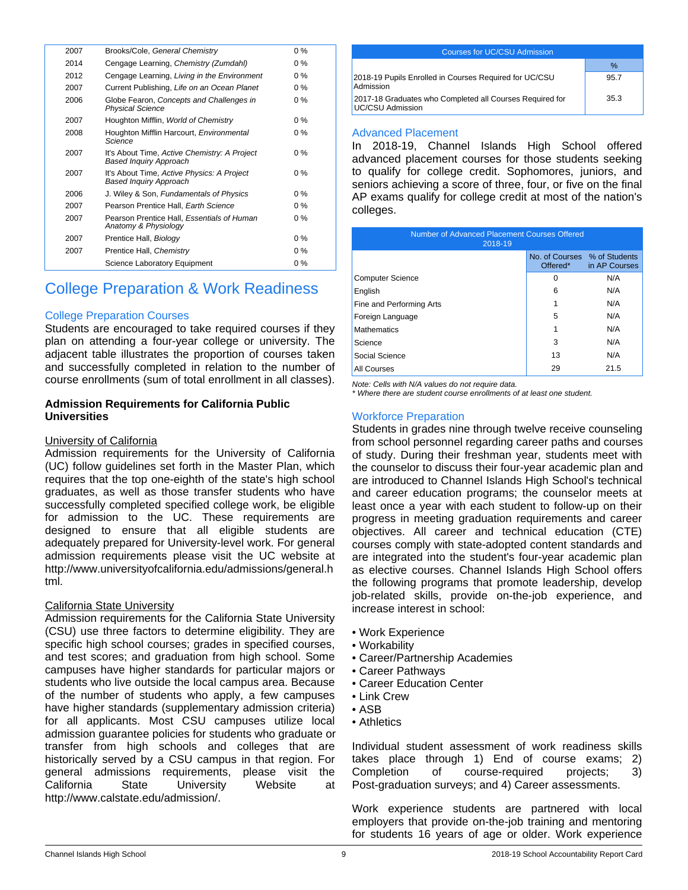| 2007 | Brooks/Cole, General Chemistry                                         | $0\%$ |
|------|------------------------------------------------------------------------|-------|
| 2014 | Cengage Learning, Chemistry (Zumdahl)                                  | $0\%$ |
| 2012 | Cengage Learning, Living in the Environment                            | $0\%$ |
| 2007 | Current Publishing, Life on an Ocean Planet                            | $0\%$ |
| 2006 | Globe Fearon, Concepts and Challenges in<br><b>Physical Science</b>    | $0\%$ |
| 2007 | Houghton Mifflin, World of Chemistry                                   | $0\%$ |
| 2008 | Houghton Mifflin Harcourt, Environmental<br>Science                    | $0\%$ |
| 2007 | It's About Time, Active Chemistry: A Project<br>Based Inquiry Approach | $0\%$ |
| 2007 | It's About Time, Active Physics: A Project<br>Based Inquiry Approach   | $0\%$ |
| 2006 | J. Wiley & Son, Fundamentals of Physics                                | $0\%$ |
| 2007 | Pearson Prentice Hall, Earth Science                                   | $0\%$ |
| 2007 | Pearson Prentice Hall, Essentials of Human<br>Anatomy & Physiology     | $0\%$ |
| 2007 | Prentice Hall, Biology                                                 | $0\%$ |
| 2007 | Prentice Hall, Chemistry                                               | $0\%$ |
|      | Science Laboratory Equipment                                           | $0\%$ |

# College Preparation & Work Readiness

### College Preparation Courses

Students are encouraged to take required courses if they plan on attending a four-year college or university. The adjacent table illustrates the proportion of courses taken and successfully completed in relation to the number of course enrollments (sum of total enrollment in all classes).

### **Admission Requirements for California Public Universities**

### University of California

Admission requirements for the University of California (UC) follow guidelines set forth in the Master Plan, which requires that the top one-eighth of the state's high school graduates, as well as those transfer students who have successfully completed specified college work, be eligible for admission to the UC. These requirements are designed to ensure that all eligible students are adequately prepared for University-level work. For general admission requirements please visit the UC website at http://www.universityofcalifornia.edu/admissions/general.h tml.

### California State University

Admission requirements for the California State University (CSU) use three factors to determine eligibility. They are specific high school courses; grades in specified courses, and test scores; and graduation from high school. Some campuses have higher standards for particular majors or students who live outside the local campus area. Because of the number of students who apply, a few campuses have higher standards (supplementary admission criteria) for all applicants. Most CSU campuses utilize local admission guarantee policies for students who graduate or transfer from high schools and colleges that are historically served by a CSU campus in that region. For general admissions requirements, please visit the California State University Website at http://www.calstate.edu/admission/.

| Courses for UC/CSU Admission                                                        |      |  |  |
|-------------------------------------------------------------------------------------|------|--|--|
|                                                                                     | %    |  |  |
| 2018-19 Pupils Enrolled in Courses Required for UC/CSU<br>Admission                 | 95.7 |  |  |
| 2017-18 Graduates who Completed all Courses Required for<br><b>UC/CSU Admission</b> | 35.3 |  |  |
|                                                                                     |      |  |  |

### Advanced Placement

In 2018-19, Channel Islands High School offered advanced placement courses for those students seeking to qualify for college credit. Sophomores, juniors, and seniors achieving a score of three, four, or five on the final AP exams qualify for college credit at most of the nation's colleges.

| Number of Advanced Placement Courses Offered<br>2018-19 |                                          |               |  |
|---------------------------------------------------------|------------------------------------------|---------------|--|
|                                                         | No. of Courses % of Students<br>Offered* | in AP Courses |  |
| <b>Computer Science</b>                                 | 0                                        | N/A           |  |
| English                                                 | 6                                        | N/A           |  |
| Fine and Performing Arts                                | 1                                        | N/A           |  |
| Foreign Language                                        | 5                                        | N/A           |  |
| <b>Mathematics</b>                                      | 1                                        | N/A           |  |
| Science                                                 | 3                                        | N/A           |  |
| Social Science                                          | 13                                       | N/A           |  |
| All Courses                                             | 29                                       | 21.5          |  |

*Note: Cells with N/A values do not require data.*

*\* Where there are student course enrollments of at least one student.*

### Workforce Preparation

Students in grades nine through twelve receive counseling from school personnel regarding career paths and courses of study. During their freshman year, students meet with the counselor to discuss their four-year academic plan and are introduced to Channel Islands High School's technical and career education programs; the counselor meets at least once a year with each student to follow-up on their progress in meeting graduation requirements and career objectives. All career and technical education (CTE) courses comply with state-adopted content standards and are integrated into the student's four-year academic plan as elective courses. Channel Islands High School offers the following programs that promote leadership, develop job-related skills, provide on-the-job experience, and increase interest in school:

- Work Experience
- Workability
	- Career/Partnership Academies
	- Career Pathways
	- Career Education Center
	- Link Crew
- ASB
- Athletics

Individual student assessment of work readiness skills takes place through 1) End of course exams; 2) Completion of course-required projects; 3) Post-graduation surveys; and 4) Career assessments.

Work experience students are partnered with local employers that provide on-the-job training and mentoring for students 16 years of age or older. Work experience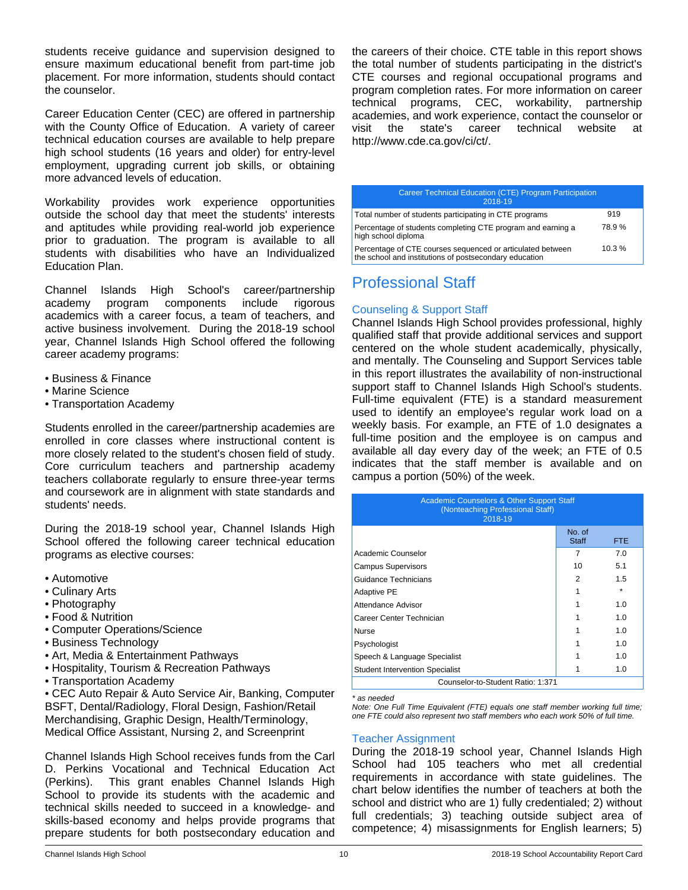students receive guidance and supervision designed to ensure maximum educational benefit from part-time job placement. For more information, students should contact the counselor.

Career Education Center (CEC) are offered in partnership with the County Office of Education. A variety of career technical education courses are available to help prepare high school students (16 years and older) for entry-level employment, upgrading current job skills, or obtaining more advanced levels of education.

Workability provides work experience opportunities outside the school day that meet the students' interests and aptitudes while providing real-world job experience prior to graduation. The program is available to all students with disabilities who have an Individualized Education Plan.

Channel Islands High School's career/partnership academy program components include rigorous academics with a career focus, a team of teachers, and active business involvement. During the 2018-19 school year, Channel Islands High School offered the following career academy programs:

- Business & Finance
- Marine Science
- Transportation Academy

Students enrolled in the career/partnership academies are enrolled in core classes where instructional content is more closely related to the student's chosen field of study. Core curriculum teachers and partnership academy teachers collaborate regularly to ensure three-year terms and coursework are in alignment with state standards and students' needs.

During the 2018-19 school year, Channel Islands High School offered the following career technical education programs as elective courses:

- Automotive
- Culinary Arts
- Photography
- Food & Nutrition
- Computer Operations/Science
- Business Technology
- Art, Media & Entertainment Pathways
- Hospitality, Tourism & Recreation Pathways
- Transportation Academy

• CEC Auto Repair & Auto Service Air, Banking, Computer BSFT, Dental/Radiology, Floral Design, Fashion/Retail Merchandising, Graphic Design, Health/Terminology, Medical Office Assistant, Nursing 2, and Screenprint

Channel Islands High School receives funds from the Carl D. Perkins Vocational and Technical Education Act<br>(Perkins). This grant enables Channel Islands High This grant enables Channel Islands High School to provide its students with the academic and technical skills needed to succeed in a knowledge- and skills-based economy and helps provide programs that prepare students for both postsecondary education and

the careers of their choice. CTE table in this report shows the total number of students participating in the district's CTE courses and regional occupational programs and program completion rates. For more information on career technical programs, CEC, workability, partnership academies, and work experience, contact the counselor or visit the state's career technical website at http://www.cde.ca.gov/ci/ct/.

| Career Technical Education (CTE) Program Participation<br>2018-19                                                    |       |
|----------------------------------------------------------------------------------------------------------------------|-------|
| Total number of students participating in CTE programs                                                               | 919   |
| Percentage of students completing CTE program and earning a<br>high school diploma                                   | 78.9% |
| Percentage of CTE courses sequenced or articulated between<br>the school and institutions of postsecondary education | 10.3% |

# Professional Staff

### Counseling & Support Staff

Channel Islands High School provides professional, highly qualified staff that provide additional services and support centered on the whole student academically, physically, and mentally. The Counseling and Support Services table in this report illustrates the availability of non-instructional support staff to Channel Islands High School's students. Full-time equivalent (FTE) is a standard measurement used to identify an employee's regular work load on a weekly basis. For example, an FTE of 1.0 designates a full-time position and the employee is on campus and available all day every day of the week; an FTE of 0.5 indicates that the staff member is available and on campus a portion (50%) of the week.

| <b>Academic Counselors &amp; Other Support Staff</b><br>(Nonteaching Professional Staff)<br>2018-19 |                        |      |  |
|-----------------------------------------------------------------------------------------------------|------------------------|------|--|
|                                                                                                     | No. of<br><b>Staff</b> | FTE. |  |
| Academic Counselor                                                                                  | 7                      | 7.0  |  |
| <b>Campus Supervisors</b>                                                                           | 10                     | 5.1  |  |
| Guidance Technicians                                                                                | 2                      | 1.5  |  |
| <b>Adaptive PE</b>                                                                                  |                        |      |  |
| Attendance Advisor                                                                                  |                        | 1.0  |  |
| Career Center Technician                                                                            |                        | 1.0  |  |
| <b>Nurse</b>                                                                                        |                        | 1.0  |  |
| Psychologist                                                                                        |                        | 1.0  |  |
| Speech & Language Specialist                                                                        |                        | 1.0  |  |
| <b>Student Intervention Specialist</b>                                                              |                        | 1.0  |  |
| Counselor-to-Student Ratio: 1:371                                                                   |                        |      |  |

*\* as needed*

*Note: One Full Time Equivalent (FTE) equals one staff member working full time; one FTE could also represent two staff members who each work 50% of full time.*

### Teacher Assignment

During the 2018-19 school year, Channel Islands High School had 105 teachers who met all credential requirements in accordance with state guidelines. The chart below identifies the number of teachers at both the school and district who are 1) fully credentialed; 2) without full credentials; 3) teaching outside subject area of competence; 4) misassignments for English learners; 5)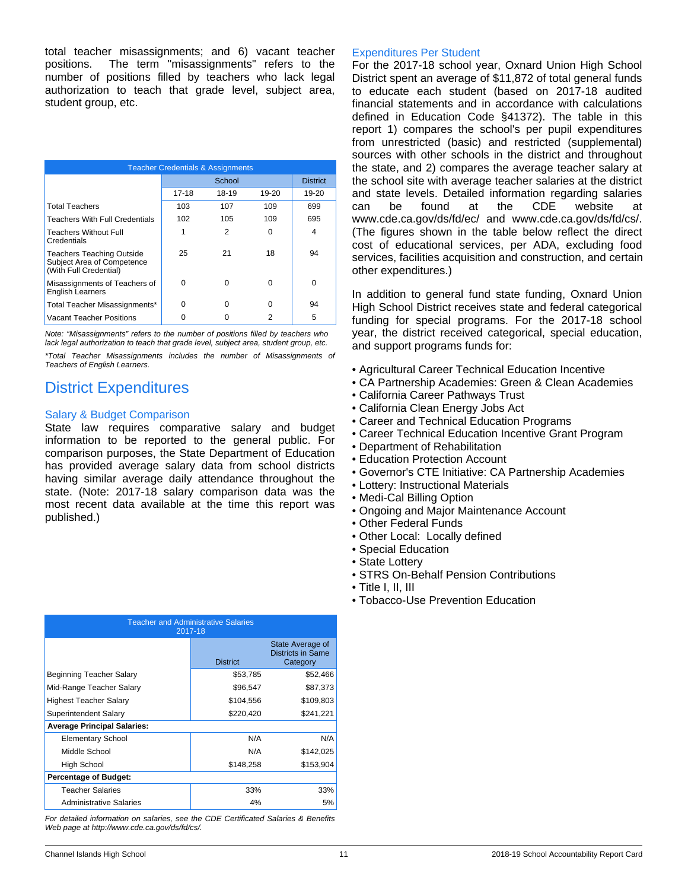total teacher misassignments; and 6) vacant teacher positions. The term "misassignments" refers to the number of positions filled by teachers who lack legal authorization to teach that grade level, subject area, student group, etc.

| <b>Teacher Credentials &amp; Assignments</b>                                             |          |        |       |                 |
|------------------------------------------------------------------------------------------|----------|--------|-------|-----------------|
|                                                                                          |          | School |       | <b>District</b> |
|                                                                                          | 17-18    | 18-19  | 19-20 | $19-20$         |
| <b>Total Teachers</b>                                                                    | 103      | 107    | 109   | 699             |
| <b>Teachers With Full Credentials</b>                                                    | 102      | 105    | 109   | 695             |
| <b>Teachers Without Full</b><br>Credentials                                              | 1        | 2      | 0     | 4               |
| <b>Teachers Teaching Outside</b><br>Subject Area of Competence<br>(With Full Credential) | 25       | 21     | 18    | 94              |
| Misassignments of Teachers of<br><b>English Learners</b>                                 | $\Omega$ | 0      | 0     | $\Omega$        |
| Total Teacher Misassignments*                                                            | 0        | 0      | 0     | 94              |
| Vacant Teacher Positions                                                                 |          |        | 2     | 5               |

*Note: "Misassignments" refers to the number of positions filled by teachers who lack legal authorization to teach that grade level, subject area, student group, etc.*

*\*Total Teacher Misassignments includes the number of Misassignments of Teachers of English Learners.*

# District Expenditures

### Salary & Budget Comparison

State law requires comparative salary and budget information to be reported to the general public. For comparison purposes, the State Department of Education has provided average salary data from school districts having similar average daily attendance throughout the state. (Note: 2017-18 salary comparison data was the most recent data available at the time this report was published.)

For the 2017-18 school year, Oxnard Union High School District spent an average of \$11,872 of total general funds to educate each student (based on 2017-18 audited financial statements and in accordance with calculations defined in Education Code §41372). The table in this report 1) compares the school's per pupil expenditures from unrestricted (basic) and restricted (supplemental) sources with other schools in the district and throughout the state, and 2) compares the average teacher salary at the school site with average teacher salaries at the district and state levels. Detailed information regarding salaries can be found at the CDE website at www.cde.ca.gov/ds/fd/ec/ and www.cde.ca.gov/ds/fd/cs/. (The figures shown in the table below reflect the direct cost of educational services, per ADA, excluding food services, facilities acquisition and construction, and certain other expenditures.)

In addition to general fund state funding, Oxnard Union High School District receives state and federal categorical funding for special programs. For the 2017-18 school year, the district received categorical, special education, and support programs funds for:

- Agricultural Career Technical Education Incentive
- CA Partnership Academies: Green & Clean Academies
- California Career Pathways Trust
- California Clean Energy Jobs Act
- Career and Technical Education Programs
- Career Technical Education Incentive Grant Program
- Department of Rehabilitation
- Education Protection Account
- Governor's CTE Initiative: CA Partnership Academies
- Lottery: Instructional Materials
- Medi-Cal Billing Option
- Ongoing and Major Maintenance Account
- Other Federal Funds
- Other Local: Locally defined
- Special Education
- State Lottery
- STRS On-Behalf Pension Contributions
- Title I, II, III
- Tobacco-Use Prevention Education

| <b>Teacher and Administrative Salaries</b><br>2017-18 |                 |                                                   |  |  |
|-------------------------------------------------------|-----------------|---------------------------------------------------|--|--|
|                                                       | <b>District</b> | State Average of<br>Districts in Same<br>Category |  |  |
| Beginning Teacher Salary                              | \$53,785        | \$52,466                                          |  |  |
| Mid-Range Teacher Salary                              | \$96,547        | \$87,373                                          |  |  |
| Highest Teacher Salary                                | \$104,556       | \$109,803                                         |  |  |
| Superintendent Salary                                 | \$220,420       | \$241,221                                         |  |  |
| <b>Average Principal Salaries:</b>                    |                 |                                                   |  |  |
| <b>Elementary School</b>                              | N/A             | N/A                                               |  |  |
| Middle School                                         | N/A             | \$142,025                                         |  |  |
| High School                                           | \$148,258       | \$153,904                                         |  |  |
| <b>Percentage of Budget:</b>                          |                 |                                                   |  |  |
| <b>Teacher Salaries</b>                               | 33%             | 33%                                               |  |  |
| Administrative Salaries                               | 5%              |                                                   |  |  |

*For detailed information on salaries, see the CDE Certificated Salaries & Benefits Web page at http://www.cde.ca.gov/ds/fd/cs/.*